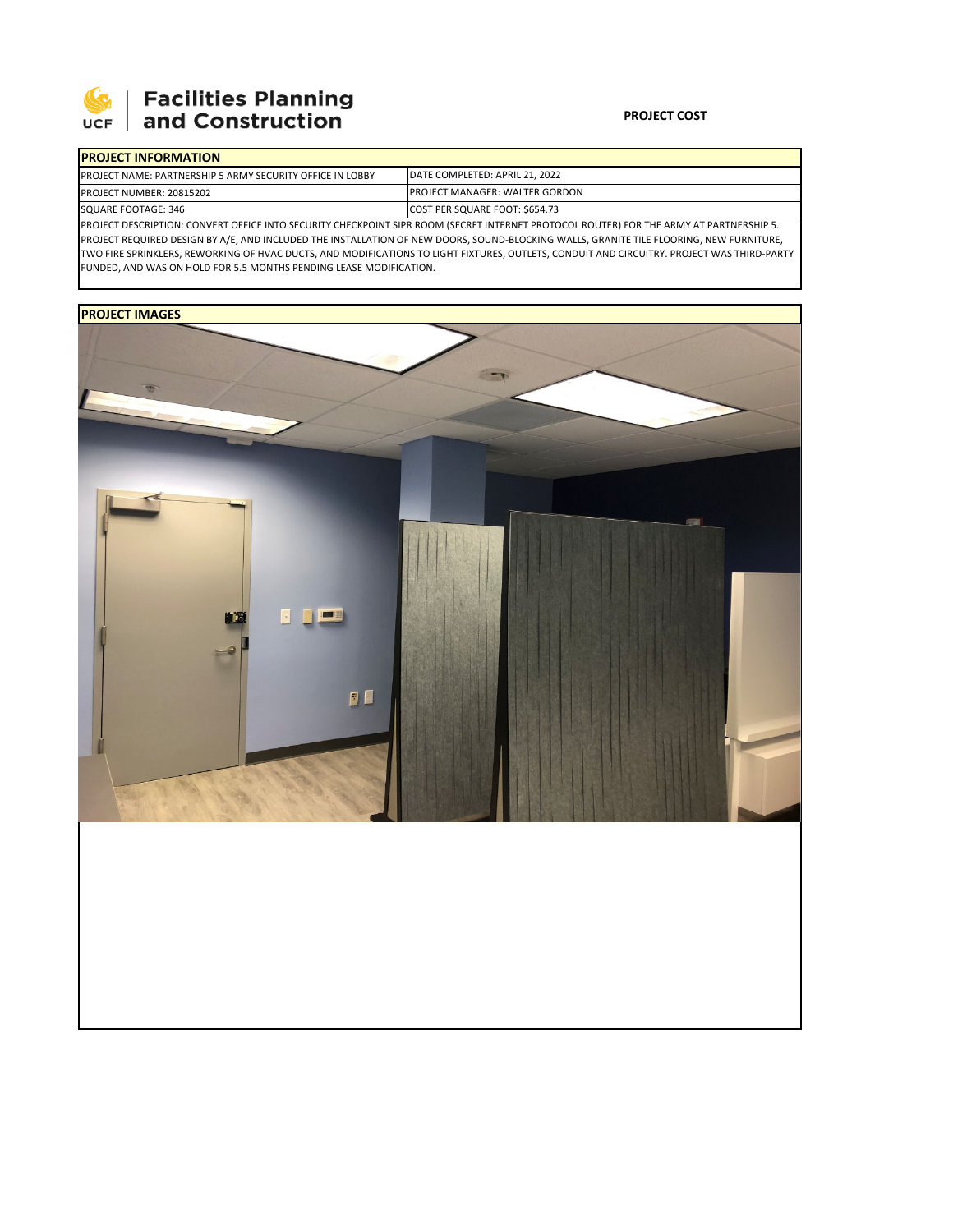

## **Facilities Planning<br>and Construction**

#### **PROJECT COST**

٦

## **PROJECT INFORMATION**

| <u>IFRUJECT INFURNIATION</u>                                                                                                                    |                                        |  |  |  |  |
|-------------------------------------------------------------------------------------------------------------------------------------------------|----------------------------------------|--|--|--|--|
| <b>IPROJECT NAME: PARTNERSHIP 5 ARMY SECURITY OFFICE IN LOBBY</b>                                                                               | DATE COMPLETED: APRIL 21, 2022         |  |  |  |  |
| PROJECT NUMBER: 20815202                                                                                                                        | <b>IPROJECT MANAGER: WALTER GORDON</b> |  |  |  |  |
| SQUARE FOOTAGE: 346                                                                                                                             | COST PER SQUARE FOOT: \$654.73         |  |  |  |  |
| <b>IPROJECT DESCRIPTION: CONVERT OFFICE INTO SECURITY CHECKPOINT SIPR ROOM (SECRET INTERNET PROTOCOL ROUTER) FOR THE ARMY AT PARTNERSHIP 5.</b> |                                        |  |  |  |  |

PROJECT REQUIRED DESIGN BY A/E, AND INCLUDED THE INSTALLATION OF NEW DOORS, SOUND‐BLOCKING WALLS, GRANITE TILE FLOORING, NEW FURNITURE, TWO FIRE SPRINKLERS, REWORKING OF HVAC DUCTS, AND MODIFICATIONS TO LIGHT FIXTURES, OUTLETS, CONDUIT AND CIRCUITRY. PROJECT WAS THIRD‐PARTY FUNDED, AND WAS ON HOLD FOR 5.5 MONTHS PENDING LEASE MODIFICATION.

### **PROJECT IMAGES**